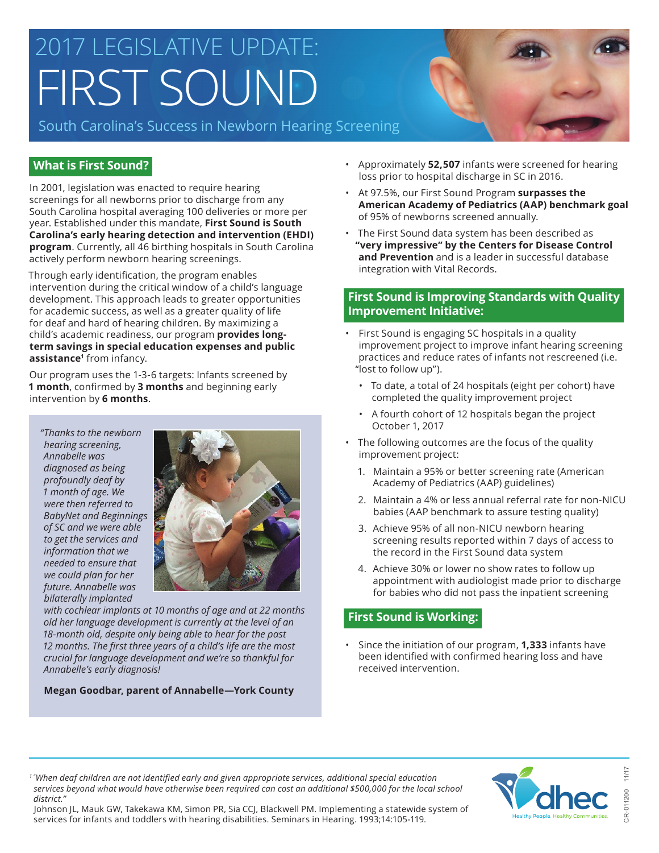# 2017 LEGISLATIVE UPDATE: FIRST SOUND

South Carolina's Success in Newborn Hearing Screening



## **What is First Sound?**

In 2001, legislation was enacted to require hearing screenings for all newborns prior to discharge from any South Carolina hospital averaging 100 deliveries or more per year. Established under this mandate, **First Sound is South Carolina's early hearing detection and intervention (EHDI) program**. Currently, all 46 birthing hospitals in South Carolina actively perform newborn hearing screenings.

Through early identification, the program enables intervention during the critical window of a child's language development. This approach leads to greater opportunities for academic success, as well as a greater quality of life for deaf and hard of hearing children. By maximizing a child's academic readiness, our program **provides longterm savings in special education expenses and public assistance<sup>1</sup>** from infancy.

Our program uses the 1-3-6 targets: Infants screened by **1 month**, confirmed by **3 months** and beginning early intervention by **6 months**.

*"Thanks to the newborn hearing screening, Annabelle was diagnosed as being profoundly deaf by 1 month of age. We were then referred to BabyNet and Beginnings of SC and we were able to get the services and information that we needed to ensure that we could plan for her future. Annabelle was bilaterally implanted* 



*with cochlear implants at 10 months of age and at 22 months old her language development is currently at the level of an 18-month old, despite only being able to hear for the past 12 months. The first three years of a child's life are the most crucial for language development and we're so thankful for Annabelle's early diagnosis!* 

#### **Megan Goodbar, parent of Annabelle—York County**

- Approximately **52,507** infants were screened for hearing loss prior to hospital discharge in SC in 2016.
- At 97.5%, our First Sound Program **surpasses the American Academy of Pediatrics (AAP) benchmark goal** of 95% of newborns screened annually.
- The First Sound data system has been described as **"very impressive" by the Centers for Disease Control and Prevention** and is a leader in successful database integration with Vital Records.

#### **First Sound is Improving Standards with Quality Improvement Initiative:**

- First Sound is engaging SC hospitals in a quality improvement project to improve infant hearing screening practices and reduce rates of infants not rescreened (i.e. "lost to follow up").
	- To date, a total of 24 hospitals (eight per cohort) have completed the quality improvement project
	- A fourth cohort of 12 hospitals began the project October 1, 2017
- The following outcomes are the focus of the quality improvement project:
	- 1. Maintain a 95% or better screening rate (American Academy of Pediatrics (AAP) guidelines)
	- 2. Maintain a 4% or less annual referral rate for non-NICU babies (AAP benchmark to assure testing quality)
	- 3. Achieve 95% of all non-NICU newborn hearing screening results reported within 7 days of access to the record in the First Sound data system
	- 4. Achieve 30% or lower no show rates to follow up appointment with audiologist made prior to discharge for babies who did not pass the inpatient screening

#### **First Sound is Working:**

• Since the initiation of our program, **1,333** infants have been identified with confirmed hearing loss and have received intervention.

*1 " When deaf children are not identified early and given appropriate services, additional special education*  services beyond what would have otherwise been required can cost an additional \$500,000 for the local school *district."* 

CR-011200 11/17

Johnson JL, Mauk GW, Takekawa KM, Simon PR, Sia CCJ, Blackwell PM. Implementing a statewide system of services for infants and toddlers with hearing disabilities. Seminars in Hearing. 1993;14:105-119.